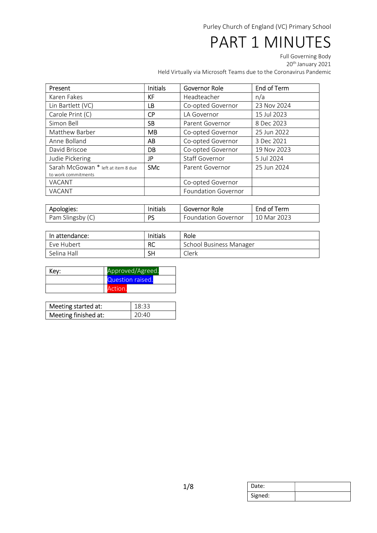# PART 1 MINUTES

Full Governing Body

20<sup>th</sup> January 2021

Held Virtually via Microsoft Teams due to the Coronavirus Pandemic

| Present                                                   | <b>Initials</b> | Governor Role              | End of Term |
|-----------------------------------------------------------|-----------------|----------------------------|-------------|
| Karen Fakes                                               | <b>KF</b>       | Headteacher                | n/a         |
| Lin Bartlett (VC)                                         | LВ              | Co-opted Governor          | 23 Nov 2024 |
| Carole Print (C)                                          | <b>CP</b>       | LA Governor                | 15 Jul 2023 |
| Simon Bell                                                | <b>SB</b>       | Parent Governor            | 8 Dec 2023  |
| Matthew Barber                                            | <b>MB</b>       | Co-opted Governor          | 25 Jun 2022 |
| Anne Bolland                                              | AB              | Co-opted Governor          | 3 Dec 2021  |
| David Briscoe                                             | DB              | Co-opted Governor          | 19 Nov 2023 |
| Judie Pickering                                           | JP              | <b>Staff Governor</b>      | 5 Jul 2024  |
| Sarah McGowan * left at item 8 due<br>to work commitments | <b>SMc</b>      | Parent Governor            | 25 Jun 2024 |
| <b>VACANT</b>                                             |                 | Co-opted Governor          |             |
| VACANT                                                    |                 | <b>Foundation Governor</b> |             |

| Apologies:       | Initials | Governor Role              | End of Term |  |
|------------------|----------|----------------------------|-------------|--|
| Pam Slingsby (C) | DС       | <b>Foundation Governor</b> | 10 Mar 2023 |  |

| In attendance: | Initials  | Role                           |
|----------------|-----------|--------------------------------|
| Eve Hubert     | <b>RC</b> | <b>School Business Manager</b> |
| Selina Hall    | SH        | Clerk                          |

| Key: | Approved/Agreed. |  |
|------|------------------|--|
|      | Question raised. |  |
|      | Action.          |  |

| Meeting started at:  | $18:33$ |
|----------------------|---------|
| Meeting finished at: | 20:40   |

| Date:   |  |
|---------|--|
| Signed: |  |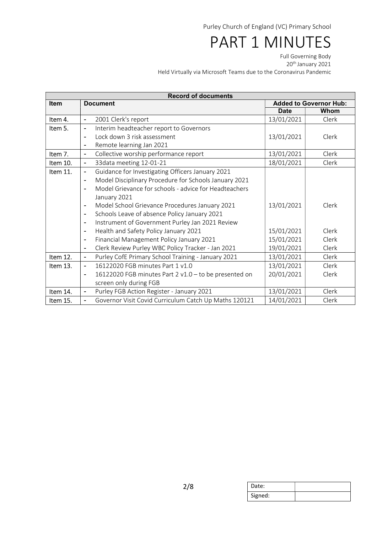# PART 1 MINUTES

Full Governing Body

20<sup>th</sup> January 2021

Held Virtually via Microsoft Teams due to the Coronavirus Pandemic

| <b>Record of documents</b> |                                                                            |             |                               |  |
|----------------------------|----------------------------------------------------------------------------|-------------|-------------------------------|--|
| <b>Item</b>                | <b>Document</b>                                                            |             | <b>Added to Governor Hub:</b> |  |
|                            |                                                                            | <b>Date</b> | Whom                          |  |
| Item 4.                    | 2001 Clerk's report<br>$\blacksquare$                                      | 13/01/2021  | Clerk                         |  |
| Item 5.                    | Interim headteacher report to Governors<br>$\blacksquare$                  |             |                               |  |
|                            | Lock down 3 risk assessment<br>$\blacksquare$                              | 13/01/2021  | Clerk                         |  |
|                            | Remote learning Jan 2021<br>$\overline{\phantom{a}}$                       |             |                               |  |
| Item 7.                    | Collective worship performance report<br>$\blacksquare$                    | 13/01/2021  | Clerk                         |  |
| Item 10.                   | 33data meeting 12-01-21<br>$\blacksquare$                                  | 18/01/2021  | Clerk                         |  |
| Item 11.                   | Guidance for Investigating Officers January 2021<br>$\blacksquare$         |             |                               |  |
|                            | Model Disciplinary Procedure for Schools January 2021<br>$\blacksquare$    |             |                               |  |
|                            | Model Grievance for schools - advice for Headteachers<br>$\blacksquare$    |             |                               |  |
|                            | January 2021                                                               |             |                               |  |
|                            | Model School Grievance Procedures January 2021<br>$\overline{\phantom{a}}$ | 13/01/2021  | Clerk                         |  |
|                            | Schools Leave of absence Policy January 2021<br>$\overline{\phantom{a}}$   |             |                               |  |
|                            | Instrument of Government Purley Jan 2021 Review<br>$\blacksquare$          |             |                               |  |
|                            | Health and Safety Policy January 2021<br>$\overline{\phantom{a}}$          | 15/01/2021  | Clerk                         |  |
|                            | Financial Management Policy January 2021<br>$\overline{\phantom{a}}$       | 15/01/2021  | Clerk                         |  |
|                            | Clerk Review Purley WBC Policy Tracker - Jan 2021<br>$\blacksquare$        | 19/01/2021  | Clerk                         |  |
| Item 12.                   | Purley CofE Primary School Training - January 2021<br>$\blacksquare$       | 13/01/2021  | Clerk                         |  |
| Item 13.                   | 16122020 FGB minutes Part 1 v1.0<br>$\blacksquare$                         | 13/01/2021  | Clerk                         |  |
|                            | 16122020 FGB minutes Part 2 v1.0 - to be presented on<br>$\blacksquare$    | 20/01/2021  | Clerk                         |  |
|                            | screen only during FGB                                                     |             |                               |  |
| Item 14.                   | Purley FGB Action Register - January 2021                                  | 13/01/2021  | Clerk                         |  |
| Item 15.                   | Governor Visit Covid Curriculum Catch Up Maths 120121                      | 14/01/2021  | Clerk                         |  |

| Date:   |  |
|---------|--|
| Signed: |  |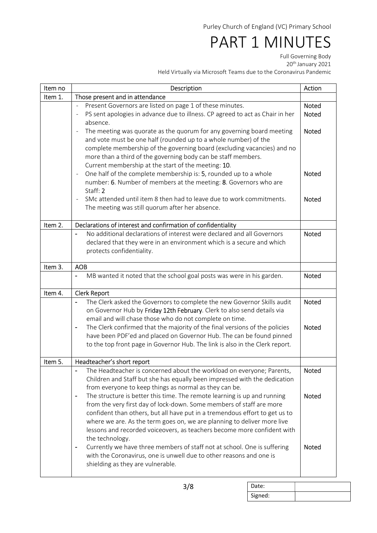# PART 1 MINUTES

Full Governing Body

20<sup>th</sup> January 2021

Held Virtually via Microsoft Teams due to the Coronavirus Pandemic

| Item no | Description                                                                                                                                                                                                                                                                                                                                                                                                                                                                                                           | Action                                       |
|---------|-----------------------------------------------------------------------------------------------------------------------------------------------------------------------------------------------------------------------------------------------------------------------------------------------------------------------------------------------------------------------------------------------------------------------------------------------------------------------------------------------------------------------|----------------------------------------------|
| Item 1. | Those present and in attendance                                                                                                                                                                                                                                                                                                                                                                                                                                                                                       |                                              |
|         | Present Governors are listed on page 1 of these minutes.<br>$\blacksquare$<br>PS sent apologies in advance due to illness. CP agreed to act as Chair in her<br>absence.<br>The meeting was quorate as the quorum for any governing board meeting<br>$\overline{\phantom{0}}$<br>and vote must be one half (rounded up to a whole number) of the<br>complete membership of the governing board (excluding vacancies) and no                                                                                            | <b>Noted</b><br><b>Noted</b><br><b>Noted</b> |
|         | more than a third of the governing body can be staff members.<br>Current membership at the start of the meeting: 10.<br>One half of the complete membership is: 5, rounded up to a whole<br>$\blacksquare$<br>number: 6. Number of members at the meeting: 8. Governors who are<br>Staff: 2<br>SMc attended until item 8 then had to leave due to work commitments.<br>The meeting was still quorum after her absence.                                                                                                | <b>Noted</b><br><b>Noted</b>                 |
| Item 2. | Declarations of interest and confirmation of confidentiality                                                                                                                                                                                                                                                                                                                                                                                                                                                          |                                              |
|         | No additional declarations of interest were declared and all Governors<br>declared that they were in an environment which is a secure and which<br>protects confidentiality.                                                                                                                                                                                                                                                                                                                                          | <b>Noted</b>                                 |
| Item 3. | <b>AOB</b>                                                                                                                                                                                                                                                                                                                                                                                                                                                                                                            |                                              |
|         | MB wanted it noted that the school goal posts was were in his garden.                                                                                                                                                                                                                                                                                                                                                                                                                                                 | <b>Noted</b>                                 |
| Item 4. | <b>Clerk Report</b>                                                                                                                                                                                                                                                                                                                                                                                                                                                                                                   |                                              |
|         | The Clerk asked the Governors to complete the new Governor Skills audit<br>on Governor Hub by Friday 12th February. Clerk to also send details via<br>email and will chase those who do not complete on time.<br>The Clerk confirmed that the majority of the final versions of the policies<br>have been PDF'ed and placed on Governor Hub. The can be found pinned<br>to the top front page in Governor Hub. The link is also in the Clerk report.                                                                  | <b>Noted</b><br><b>Noted</b>                 |
| Item 5. | Headteacher's short report                                                                                                                                                                                                                                                                                                                                                                                                                                                                                            |                                              |
|         | The Headteacher is concerned about the workload on everyone; Parents,<br>Children and Staff but she has equally been impressed with the dedication<br>from everyone to keep things as normal as they can be.                                                                                                                                                                                                                                                                                                          | Noted                                        |
|         | The structure is better this time. The remote learning is up and running<br>$\overline{\phantom{0}}$<br>from the very first day of lock-down. Some members of staff are more<br>confident than others, but all have put in a tremendous effort to get us to<br>where we are. As the term goes on, we are planning to deliver more live<br>lessons and recorded voiceovers, as teachers become more confident with<br>the technology.<br>Currently we have three members of staff not at school. One is suffering<br>- | <b>Noted</b><br><b>Noted</b>                 |
|         | with the Coronavirus, one is unwell due to other reasons and one is<br>shielding as they are vulnerable.                                                                                                                                                                                                                                                                                                                                                                                                              |                                              |

| Date:   |  |
|---------|--|
| Signed: |  |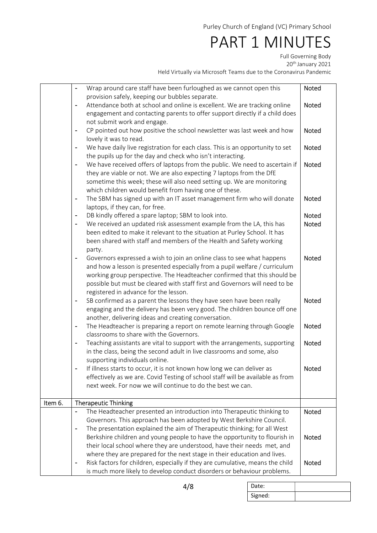## PART 1 MINUTES

Full Governing Body

20<sup>th</sup> January 2021

Held Virtually via Microsoft Teams due to the Coronavirus Pandemic

|         | Wrap around care staff have been furloughed as we cannot open this<br>$\blacksquare$<br>provision safely, keeping our bubbles separate.                                                                                                                                                                                                                       | Noted        |
|---------|---------------------------------------------------------------------------------------------------------------------------------------------------------------------------------------------------------------------------------------------------------------------------------------------------------------------------------------------------------------|--------------|
|         | Attendance both at school and online is excellent. We are tracking online<br>engagement and contacting parents to offer support directly if a child does<br>not submit work and engage.                                                                                                                                                                       | <b>Noted</b> |
|         | CP pointed out how positive the school newsletter was last week and how<br>$\qquad \qquad \blacksquare$<br>lovely it was to read.                                                                                                                                                                                                                             | Noted        |
|         | We have daily live registration for each class. This is an opportunity to set<br>the pupils up for the day and check who isn't interacting.                                                                                                                                                                                                                   | <b>Noted</b> |
|         | We have received offers of laptops from the public. We need to ascertain if<br>$\qquad \qquad \blacksquare$<br>they are viable or not. We are also expecting 7 laptops from the DfE<br>sometime this week; these will also need setting up. We are monitoring<br>which children would benefit from having one of these.                                       | Noted        |
|         | The SBM has signed up with an IT asset management firm who will donate<br>$\qquad \qquad \blacksquare$<br>laptops, if they can, for free.                                                                                                                                                                                                                     | Noted        |
|         | DB kindly offered a spare laptop; SBM to look into.                                                                                                                                                                                                                                                                                                           | <b>Noted</b> |
|         | We received an updated risk assessment example from the LA, this has<br>$\overline{a}$<br>been edited to make it relevant to the situation at Purley School. It has<br>been shared with staff and members of the Health and Safety working<br>party.                                                                                                          | Noted        |
|         | Governors expressed a wish to join an online class to see what happens<br>۰<br>and how a lesson is presented especially from a pupil welfare / curriculum<br>working group perspective. The Headteacher confirmed that this should be<br>possible but must be cleared with staff first and Governors will need to be<br>registered in advance for the lesson. | <b>Noted</b> |
|         | SB confirmed as a parent the lessons they have seen have been really<br>$\blacksquare$<br>engaging and the delivery has been very good. The children bounce off one<br>another, delivering ideas and creating conversation.                                                                                                                                   | <b>Noted</b> |
|         | The Headteacher is preparing a report on remote learning through Google<br>۳<br>classrooms to share with the Governors.                                                                                                                                                                                                                                       | Noted        |
|         | Teaching assistants are vital to support with the arrangements, supporting<br>$\overline{\phantom{0}}$<br>in the class, being the second adult in live classrooms and some, also<br>supporting individuals online.                                                                                                                                            | <b>Noted</b> |
|         | If illness starts to occur, it is not known how long we can deliver as<br>$\overline{a}$<br>effectively as we are. Covid Testing of school staff will be available as from<br>next week. For now we will continue to do the best we can.                                                                                                                      | <b>Noted</b> |
| Item 6. | <b>Therapeutic Thinking</b>                                                                                                                                                                                                                                                                                                                                   |              |
|         | The Headteacher presented an introduction into Therapeutic thinking to<br>$\blacksquare$<br>Governors. This approach has been adopted by West Berkshire Council.                                                                                                                                                                                              | <b>Noted</b> |
|         | The presentation explained the aim of Therapeutic thinking; for all West<br>$\overline{a}$                                                                                                                                                                                                                                                                    |              |
|         | Berkshire children and young people to have the opportunity to flourish in                                                                                                                                                                                                                                                                                    | Noted        |
|         | their local school where they are understood, have their needs met, and                                                                                                                                                                                                                                                                                       |              |
|         | where they are prepared for the next stage in their education and lives.                                                                                                                                                                                                                                                                                      |              |
|         | Risk factors for children, especially if they are cumulative, means the child<br>-<br>is much more likely to develop conduct disorders or behaviour problems.                                                                                                                                                                                                 | <b>Noted</b> |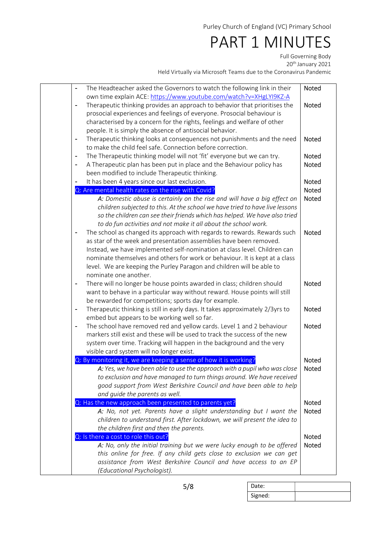### PART 1 MINUTES

Full Governing Body

20<sup>th</sup> January 2021

Held Virtually via Microsoft Teams due to the Coronavirus Pandemic

| $\overline{\phantom{a}}$     | The Headteacher asked the Governors to watch the following link in their<br>own time explain ACE: https://www.youtube.com/watch?v=XHgLYI9KZ-A                                                                                                                                                                                                                                                                | <b>Noted</b>          |
|------------------------------|--------------------------------------------------------------------------------------------------------------------------------------------------------------------------------------------------------------------------------------------------------------------------------------------------------------------------------------------------------------------------------------------------------------|-----------------------|
| $\blacksquare$               | Therapeutic thinking provides an approach to behavior that prioritises the<br>prosocial experiences and feelings of everyone. Prosocial behaviour is<br>characterised by a concern for the rights, feelings and welfare of other<br>people. It is simply the absence of antisocial behavior.                                                                                                                 | <b>Noted</b>          |
| $\qquad \qquad \blacksquare$ | Therapeutic thinking looks at consequences not punishments and the need<br>to make the child feel safe. Connection before correction.                                                                                                                                                                                                                                                                        | <b>Noted</b>          |
| $\blacksquare$               | The Therapeutic thinking model will not 'fit' everyone but we can try.                                                                                                                                                                                                                                                                                                                                       | <b>Noted</b>          |
| $\blacksquare$               | A Therapeutic plan has been put in place and the Behaviour policy has<br>been modified to include Therapeutic thinking.                                                                                                                                                                                                                                                                                      | <b>Noted</b>          |
|                              | It has been 4 years since our last exclusion.                                                                                                                                                                                                                                                                                                                                                                | <b>Noted</b>          |
|                              | Q: Are mental health rates on the rise with Covid?                                                                                                                                                                                                                                                                                                                                                           | <b>Noted</b>          |
|                              | A: Domestic abuse is certainly on the rise and will have a big effect on<br>children subjected to this. At the school we have tried to have live lessons<br>so the children can see their friends which has helped. We have also tried<br>to do fun activities and not make it all about the school work.                                                                                                    | Noted                 |
| $\overline{a}$               | The school as changed its approach with regards to rewards. Rewards such<br>as star of the week and presentation assemblies have been removed.<br>Instead, we have implemented self-nomination at class level. Children can<br>nominate themselves and others for work or behaviour. It is kept at a class<br>level. We are keeping the Purley Paragon and children will be able to<br>nominate one another. | <b>Noted</b>          |
| $\blacksquare$               | There will no longer be house points awarded in class; children should<br>want to behave in a particular way without reward. House points will still<br>be rewarded for competitions; sports day for example.                                                                                                                                                                                                | <b>Noted</b>          |
| $\blacksquare$               | Therapeutic thinking is still in early days. It takes approximately 2/3yrs to<br>embed but appears to be working well so far.                                                                                                                                                                                                                                                                                | <b>Noted</b>          |
| $\blacksquare$               | The school have removed red and yellow cards. Level 1 and 2 behaviour<br>markers still exist and these will be used to track the success of the new<br>system over time. Tracking will happen in the background and the very<br>visible card system will no longer exist.                                                                                                                                    | <b>Noted</b>          |
|                              | Q: By monitoring it, we are keeping a sense of how it is working?                                                                                                                                                                                                                                                                                                                                            | Noted                 |
|                              | A: Yes, we have been able to use the approach with a pupil who was close<br>to exclusion and have managed to turn things around. We have received<br>good support from West Berkshire Council and have been able to help<br>and guide the parents as well.                                                                                                                                                   | Noted                 |
|                              | Q: Has the new approach been presented to parents yet?                                                                                                                                                                                                                                                                                                                                                       | <b>Noted</b>          |
|                              | A: No, not yet. Parents have a slight understanding but I want the<br>children to understand first. After lockdown, we will present the idea to                                                                                                                                                                                                                                                              | <b>Noted</b>          |
|                              | the children first and then the parents.                                                                                                                                                                                                                                                                                                                                                                     |                       |
|                              | Q: Is there a cost to role this out?<br>A: No, only the initial training but we were lucky enough to be offered<br>this online for free. If any child gets close to exclusion we can get<br>assistance from West Berkshire Council and have access to an EP<br>(Educational Psychologist).                                                                                                                   | Noted<br><b>Noted</b> |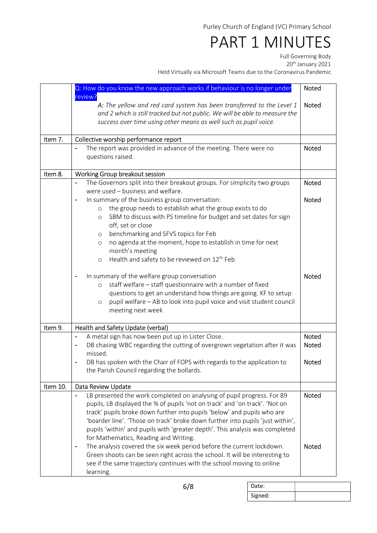## PART 1 MINUTES

Full Governing Body

20<sup>th</sup> January 2021

Held Virtually via Microsoft Teams due to the Coronavirus Pandemic

|          | Q: How do you know the new approach works if behaviour is no longer under                                 | <b>Noted</b> |  |  |
|----------|-----------------------------------------------------------------------------------------------------------|--------------|--|--|
|          | review?                                                                                                   |              |  |  |
|          | A: The yellow and red card system has been transferred to the Level 1                                     |              |  |  |
|          | and 2 which is still tracked but not public. We will be able to measure the                               |              |  |  |
|          | success over time using other means as well such as pupil voice.                                          |              |  |  |
| Item 7.  |                                                                                                           |              |  |  |
|          | Collective worship performance report<br>The report was provided in advance of the meeting. There were no |              |  |  |
|          | questions raised.                                                                                         | Noted        |  |  |
|          |                                                                                                           |              |  |  |
| Item 8.  | Working Group breakout session                                                                            |              |  |  |
|          | The Governors split into their breakout groups. For simplicity two groups                                 | Noted        |  |  |
|          | were used - business and welfare.                                                                         |              |  |  |
|          | In summary of the business group conversation:                                                            | <b>Noted</b> |  |  |
|          | the group needs to establish what the group exists to do<br>$\circ$                                       |              |  |  |
|          | SBM to discuss with PS timeline for budget and set dates for sign<br>$\circ$                              |              |  |  |
|          | off, set or close                                                                                         |              |  |  |
|          | benchmarking and SFVS topics for Feb<br>$\circ$                                                           |              |  |  |
|          | no agenda at the moment, hope to establish in time for next<br>$\circ$                                    |              |  |  |
|          | month's meeting                                                                                           |              |  |  |
|          | Health and safety to be reviewed on 12 <sup>th</sup> Feb<br>$\circ$                                       |              |  |  |
|          | In summary of the welfare group conversation                                                              | <b>Noted</b> |  |  |
|          | staff welfare - staff questionnaire with a number of fixed<br>$\circ$                                     |              |  |  |
|          | questions to get an understand how things are going. KF to setup                                          |              |  |  |
|          | pupil welfare - AB to look into pupil voice and visit student council<br>$\circ$                          |              |  |  |
|          | meeting next week                                                                                         |              |  |  |
|          |                                                                                                           |              |  |  |
| Item 9.  | Health and Safety Update (verbal)                                                                         |              |  |  |
|          | A metal sign has now been put up in Lister Close.<br>$\overline{\phantom{0}}$                             | Noted        |  |  |
|          | DB chasing WBC regarding the cutting of overgrown vegetation after it was                                 | <b>Noted</b> |  |  |
|          | missed.                                                                                                   |              |  |  |
|          | DB has spoken with the Chair of FOPS with regards to the application to                                   | Noted        |  |  |
|          | the Parish Council regarding the bollards.                                                                |              |  |  |
| Item 10. | Data Review Update                                                                                        |              |  |  |
|          | LB presented the work completed on analysing of pupil progress. For 89                                    | Noted        |  |  |
|          | pupils, LB displayed the % of pupils 'not on track' and 'on track'. 'Not on                               |              |  |  |
|          | track' pupils broke down further into pupils 'below' and pupils who are                                   |              |  |  |
|          | 'boarder line'. 'Those on track' broke down further into pupils 'just within',                            |              |  |  |
|          | pupils 'within' and pupils with 'greater depth'. This analysis was completed                              |              |  |  |
|          | for Mathematics, Reading and Writing.                                                                     |              |  |  |
|          | The analysis covered the six week period before the current lockdown.<br>$\overline{\phantom{a}}$         | <b>Noted</b> |  |  |
|          | Green shoots can be seen right across the school. It will be interesting to                               |              |  |  |
|          | see if the same trajectory continues with the school moving to online                                     |              |  |  |
|          | learning.                                                                                                 |              |  |  |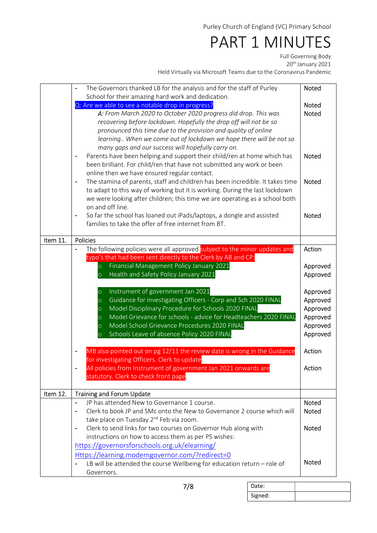## PART 1 MINUTES

Full Governing Body

20<sup>th</sup> January 2021

Held Virtually via Microsoft Teams due to the Coronavirus Pandemic

|          | The Governors thanked LB for the analysis and for the staff of Purley                                                                                     | <b>Noted</b>                 |  |
|----------|-----------------------------------------------------------------------------------------------------------------------------------------------------------|------------------------------|--|
|          | School for their amazing hard work and dedication.<br>Q: Are we able to see a notable drop in progress?                                                   |                              |  |
|          | A: From March 2020 to October 2020 progress did drop. This was                                                                                            | <b>Noted</b><br><b>Noted</b> |  |
|          | recovering before lockdown. Hopefully the drop off will not be so                                                                                         |                              |  |
|          | pronounced this time due to the provision and quality of online                                                                                           |                              |  |
|          | learning When we come out of lockdown we hope there will be not so                                                                                        |                              |  |
|          | many gaps and our success will hopefully carry on.<br>Parents have been helping and support their child/ren at home which has<br>$\overline{\phantom{0}}$ | <b>Noted</b>                 |  |
|          | been brilliant. For child/ren that have not submitted any work or been                                                                                    |                              |  |
|          | online then we have ensured regular contact.                                                                                                              |                              |  |
|          | The stamina of parents, staff and children has been incredible. It takes time<br>$\blacksquare$                                                           | <b>Noted</b>                 |  |
|          | to adapt to this way of working but it is working. During the last lockdown                                                                               |                              |  |
|          | we were looking after children; this time we are operating as a school both                                                                               |                              |  |
|          | on and off line.                                                                                                                                          |                              |  |
|          | So far the school has loaned out iPads/laptops, a dongle and assisted<br>$\overline{\phantom{0}}$<br>families to take the offer of free internet from BT. | <b>Noted</b>                 |  |
|          |                                                                                                                                                           |                              |  |
| Item 11. | Policies                                                                                                                                                  |                              |  |
|          | The following policies were all approved subject to the minor updates and                                                                                 | Action                       |  |
|          | typo's that had been sent directly to the Clerk by AB and CP:<br>Financial Management Policy January 2021<br>$\circ$                                      | Approved                     |  |
|          | Health and Safety Policy January 2021<br>$\overline{O}$                                                                                                   | Approved                     |  |
|          |                                                                                                                                                           |                              |  |
|          | Instrument of government Jan 2021<br>$\circ$                                                                                                              | Approved                     |  |
|          | Guidance for investigating Officers - Corp and Sch 2020 FINAL<br>$\circ$                                                                                  | Approved                     |  |
|          | Model Disciplinary Procedure for Schools 2020 FINAL<br>$\circ$                                                                                            | Approved                     |  |
|          | Model Grievance for schools - advice for Headteachers 2020 FINAL<br>$\circ$<br>Model School Grievance Procedures 2020 FINAL                               | Approved<br>Approved         |  |
|          | $\circ$<br>Schools Leave of absence Policy 2020 FINAL<br>$\overline{O}$                                                                                   | Approved                     |  |
|          |                                                                                                                                                           |                              |  |
|          | MB also pointed out on pg 12/11 the review date is wrong in the Guidance                                                                                  | Action                       |  |
|          | for investigating Officers. Clerk to update.                                                                                                              |                              |  |
|          | All policies from Instrument of government Jan 2021 onwards are                                                                                           | Action                       |  |
|          | statutory. Clerk to check front page.                                                                                                                     |                              |  |
| Item 12. | <b>Training and Forum Update</b>                                                                                                                          |                              |  |
|          | JP has attended New to Governance 1 course.                                                                                                               | Noted                        |  |
|          | Clerk to book JP and SMc onto the New to Governance 2 course which will                                                                                   | <b>Noted</b>                 |  |
|          | take place on Tuesday 2 <sup>nd</sup> Feb via zoom.                                                                                                       |                              |  |
|          | Clerk to send links for two courses on Governor Hub along with<br>$\overline{\phantom{0}}$<br>instructions on how to access them as per PS wishes:        | <b>Noted</b>                 |  |
|          | https://governorsforschools.org.uk/elearning/                                                                                                             |                              |  |
|          | Https://learning.moderngovernor.com/?redirect=0                                                                                                           |                              |  |
|          | LB will be attended the course Wellbeing for education return - role of                                                                                   | Noted                        |  |
|          | Governors.                                                                                                                                                |                              |  |